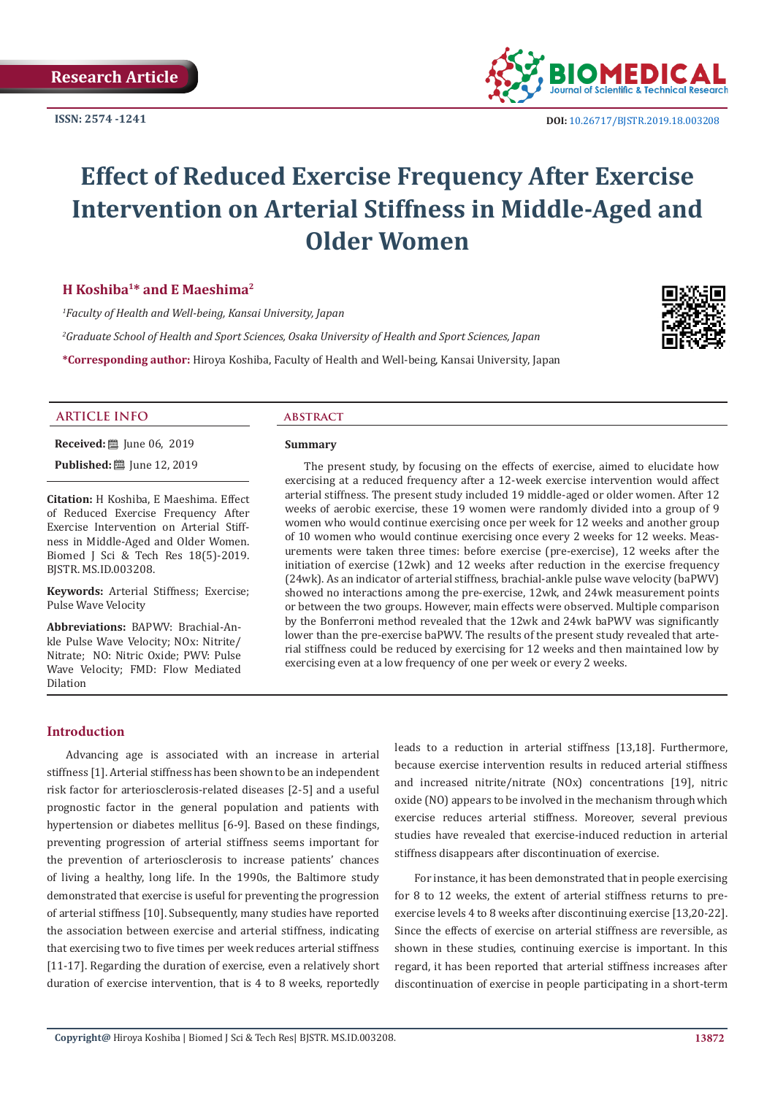

# **Effect of Reduced Exercise Frequency After Exercise Intervention on Arterial Stiffness in Middle-Aged and Older Women**

# **H Koshiba1\* and E Maeshima2**

*1 Faculty of Health and Well-being, Kansai University, Japan 2 Graduate School of Health and Sport Sciences, Osaka University of Health and Sport Sciences, Japan* **\*Corresponding author:** Hiroya Koshiba, Faculty of Health and Well-being, Kansai University, Japan



# **ARTICLE INFO abstract**

**Received:** [ June 06, 2019

**Published:** ■ June 12, 2019

**Citation:** H Koshiba, E Maeshima. Effect of Reduced Exercise Frequency After Exercise Intervention on Arterial Stiffness in Middle-Aged and Older Women. Biomed J Sci & Tech Res 18(5)-2019. BJSTR. MS.ID.003208.

**Keywords:** Arterial Stiffness; Exercise; Pulse Wave Velocity

**Abbreviations:** BAPWV: Brachial-Ankle Pulse Wave Velocity; NOx: Nitrite/ Nitrate; NO: Nitric Oxide; PWV: Pulse Wave Velocity; FMD: Flow Mediated Dilation

#### **Summary**

The present study, by focusing on the effects of exercise, aimed to elucidate how exercising at a reduced frequency after a 12-week exercise intervention would affect arterial stiffness. The present study included 19 middle-aged or older women. After 12 weeks of aerobic exercise, these 19 women were randomly divided into a group of 9 women who would continue exercising once per week for 12 weeks and another group of 10 women who would continue exercising once every 2 weeks for 12 weeks. Measurements were taken three times: before exercise (pre-exercise), 12 weeks after the initiation of exercise (12wk) and 12 weeks after reduction in the exercise frequency (24wk). As an indicator of arterial stiffness, brachial-ankle pulse wave velocity (baPWV) showed no interactions among the pre-exercise, 12wk, and 24wk measurement points or between the two groups. However, main effects were observed. Multiple comparison by the Bonferroni method revealed that the 12wk and 24wk baPWV was significantly lower than the pre-exercise baPWV. The results of the present study revealed that arterial stiffness could be reduced by exercising for 12 weeks and then maintained low by exercising even at a low frequency of one per week or every 2 weeks.

# **Introduction**

Advancing age is associated with an increase in arterial stiffness [1]. Arterial stiffness has been shown to be an independent risk factor for arteriosclerosis-related diseases [2-5] and a useful prognostic factor in the general population and patients with hypertension or diabetes mellitus [6-9]. Based on these findings, preventing progression of arterial stiffness seems important for the prevention of arteriosclerosis to increase patients' chances of living a healthy, long life. In the 1990s, the Baltimore study demonstrated that exercise is useful for preventing the progression of arterial stiffness [10]. Subsequently, many studies have reported the association between exercise and arterial stiffness, indicating that exercising two to five times per week reduces arterial stiffness [11-17]. Regarding the duration of exercise, even a relatively short duration of exercise intervention, that is 4 to 8 weeks, reportedly leads to a reduction in arterial stiffness [13,18]. Furthermore, because exercise intervention results in reduced arterial stiffness and increased nitrite/nitrate (NOx) concentrations [19], nitric oxide (NO) appears to be involved in the mechanism through which exercise reduces arterial stiffness. Moreover, several previous studies have revealed that exercise-induced reduction in arterial stiffness disappears after discontinuation of exercise.

For instance, it has been demonstrated that in people exercising for 8 to 12 weeks, the extent of arterial stiffness returns to preexercise levels 4 to 8 weeks after discontinuing exercise [13,20-22]. Since the effects of exercise on arterial stiffness are reversible, as shown in these studies, continuing exercise is important. In this regard, it has been reported that arterial stiffness increases after discontinuation of exercise in people participating in a short-term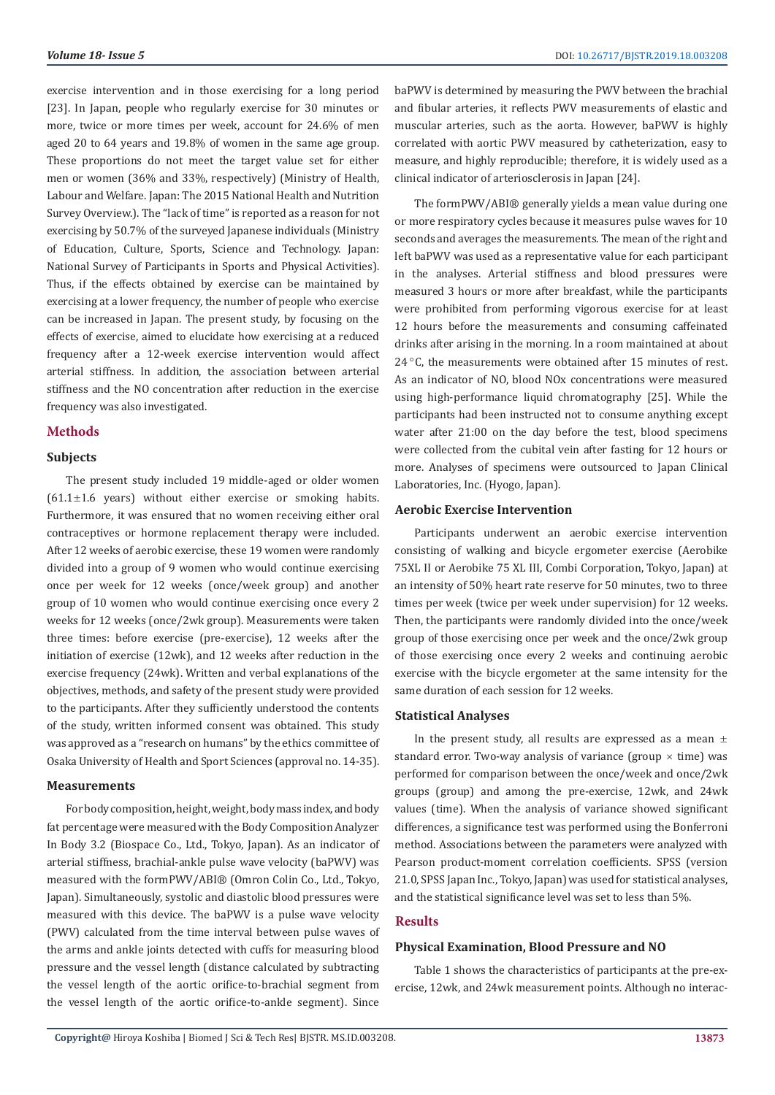exercise intervention and in those exercising for a long period [23]. In Japan, people who regularly exercise for 30 minutes or more, twice or more times per week, account for 24.6% of men aged 20 to 64 years and 19.8% of women in the same age group. These proportions do not meet the target value set for either men or women (36% and 33%, respectively) (Ministry of Health, Labour and Welfare. Japan: The 2015 National Health and Nutrition Survey Overview.). The "lack of time" is reported as a reason for not exercising by 50.7% of the surveyed Japanese individuals (Ministry of Education, Culture, Sports, Science and Technology. Japan: National Survey of Participants in Sports and Physical Activities). Thus, if the effects obtained by exercise can be maintained by exercising at a lower frequency, the number of people who exercise can be increased in Japan. The present study, by focusing on the effects of exercise, aimed to elucidate how exercising at a reduced frequency after a 12-week exercise intervention would affect arterial stiffness. In addition, the association between arterial stiffness and the NO concentration after reduction in the exercise frequency was also investigated.

# **Methods**

# **Subjects**

The present study included 19 middle-aged or older women  $(61.1 \pm 1.6$  years) without either exercise or smoking habits. Furthermore, it was ensured that no women receiving either oral contraceptives or hormone replacement therapy were included. After 12 weeks of aerobic exercise, these 19 women were randomly divided into a group of 9 women who would continue exercising once per week for 12 weeks (once/week group) and another group of 10 women who would continue exercising once every 2 weeks for 12 weeks (once/2wk group). Measurements were taken three times: before exercise (pre-exercise), 12 weeks after the initiation of exercise (12wk), and 12 weeks after reduction in the exercise frequency (24wk). Written and verbal explanations of the objectives, methods, and safety of the present study were provided to the participants. After they sufficiently understood the contents of the study, written informed consent was obtained. This study was approved as a "research on humans" by the ethics committee of Osaka University of Health and Sport Sciences (approval no. 14-35).

#### **Measurements**

For body composition, height, weight, body mass index, and body fat percentage were measured with the Body Composition Analyzer In Body 3.2 (Biospace Co., Ltd., Tokyo, Japan). As an indicator of arterial stiffness, brachial-ankle pulse wave velocity (baPWV) was measured with the formPWV/ABI® (Omron Colin Co., Ltd., Tokyo, Japan). Simultaneously, systolic and diastolic blood pressures were measured with this device. The baPWV is a pulse wave velocity (PWV) calculated from the time interval between pulse waves of the arms and ankle joints detected with cuffs for measuring blood pressure and the vessel length (distance calculated by subtracting the vessel length of the aortic orifice-to-brachial segment from the vessel length of the aortic orifice-to-ankle segment). Since

baPWV is determined by measuring the PWV between the brachial and fibular arteries, it reflects PWV measurements of elastic and muscular arteries, such as the aorta. However, baPWV is highly correlated with aortic PWV measured by catheterization, easy to measure, and highly reproducible; therefore, it is widely used as a clinical indicator of arteriosclerosis in Japan [24].

The formPWV/ABI® generally yields a mean value during one or more respiratory cycles because it measures pulse waves for 10 seconds and averages the measurements. The mean of the right and left baPWV was used as a representative value for each participant in the analyses. Arterial stiffness and blood pressures were measured 3 hours or more after breakfast, while the participants were prohibited from performing vigorous exercise for at least 12 hours before the measurements and consuming caffeinated drinks after arising in the morning. In a room maintained at about  $24^{\circ}$ C, the measurements were obtained after 15 minutes of rest. As an indicator of NO, blood NOx concentrations were measured using high-performance liquid chromatography [25]. While the participants had been instructed not to consume anything except water after 21:00 on the day before the test, blood specimens were collected from the cubital vein after fasting for 12 hours or more. Analyses of specimens were outsourced to Japan Clinical Laboratories, Inc. (Hyogo, Japan).

#### **Aerobic Exercise Intervention**

Participants underwent an aerobic exercise intervention consisting of walking and bicycle ergometer exercise (Aerobike 75XL II or Aerobike 75 XL III, Combi Corporation, Tokyo, Japan) at an intensity of 50% heart rate reserve for 50 minutes, two to three times per week (twice per week under supervision) for 12 weeks. Then, the participants were randomly divided into the once/week group of those exercising once per week and the once/2wk group of those exercising once every 2 weeks and continuing aerobic exercise with the bicycle ergometer at the same intensity for the same duration of each session for 12 weeks.

# **Statistical Analyses**

In the present study, all results are expressed as a mean  $\pm$ standard error. Two-way analysis of variance (group  $\times$  time) was performed for comparison between the once/week and once/2wk groups (group) and among the pre-exercise, 12wk, and 24wk values (time). When the analysis of variance showed significant differences, a significance test was performed using the Bonferroni method. Associations between the parameters were analyzed with Pearson product-moment correlation coefficients. SPSS (version 21.0, SPSS Japan Inc., Tokyo, Japan) was used for statistical analyses, and the statistical significance level was set to less than 5%.

### **Results**

#### **Physical Examination, Blood Pressure and NO**

Table 1 shows the characteristics of participants at the pre-exercise, 12wk, and 24wk measurement points. Although no interac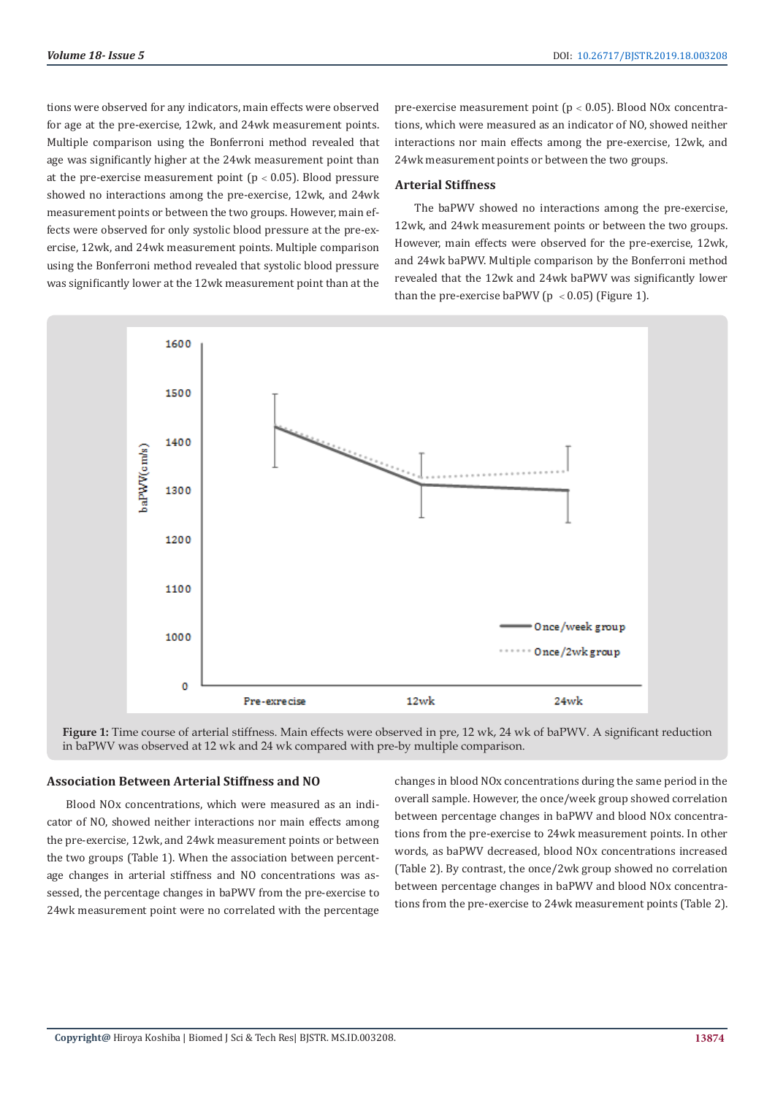tions were observed for any indicators, main effects were observed for age at the pre-exercise, 12wk, and 24wk measurement points. Multiple comparison using the Bonferroni method revealed that age was significantly higher at the 24wk measurement point than at the pre-exercise measurement point ( $p < 0.05$ ). Blood pressure showed no interactions among the pre-exercise, 12wk, and 24wk measurement points or between the two groups. However, main effects were observed for only systolic blood pressure at the pre-exercise, 12wk, and 24wk measurement points. Multiple comparison using the Bonferroni method revealed that systolic blood pressure was significantly lower at the 12wk measurement point than at the

pre-exercise measurement point ( $p < 0.05$ ). Blood NOx concentrations, which were measured as an indicator of NO, showed neither interactions nor main effects among the pre-exercise, 12wk, and 24wk measurement points or between the two groups.

# **Arterial Stiffness**

The baPWV showed no interactions among the pre-exercise, 12wk, and 24wk measurement points or between the two groups. However, main effects were observed for the pre-exercise, 12wk, and 24wk baPWV. Multiple comparison by the Bonferroni method revealed that the 12wk and 24wk baPWV was significantly lower than the pre-exercise baPWV ( $p < 0.05$ ) (Figure 1).



**Figure 1:** Time course of arterial stiffness. Main effects were observed in pre, 12 wk, 24 wk of baPWV. A significant reduction in baPWV was observed at 12 wk and 24 wk compared with pre-by multiple comparison.

# **Association Between Arterial Stiffness and NO**

Blood NOx concentrations, which were measured as an indicator of NO, showed neither interactions nor main effects among the pre-exercise, 12wk, and 24wk measurement points or between the two groups (Table 1). When the association between percentage changes in arterial stiffness and NO concentrations was assessed, the percentage changes in baPWV from the pre-exercise to 24wk measurement point were no correlated with the percentage changes in blood NOx concentrations during the same period in the overall sample. However, the once/week group showed correlation between percentage changes in baPWV and blood NOx concentrations from the pre-exercise to 24wk measurement points. In other words, as baPWV decreased, blood NOx concentrations increased (Table 2). By contrast, the once/2wk group showed no correlation between percentage changes in baPWV and blood NOx concentrations from the pre-exercise to 24wk measurement points (Table 2).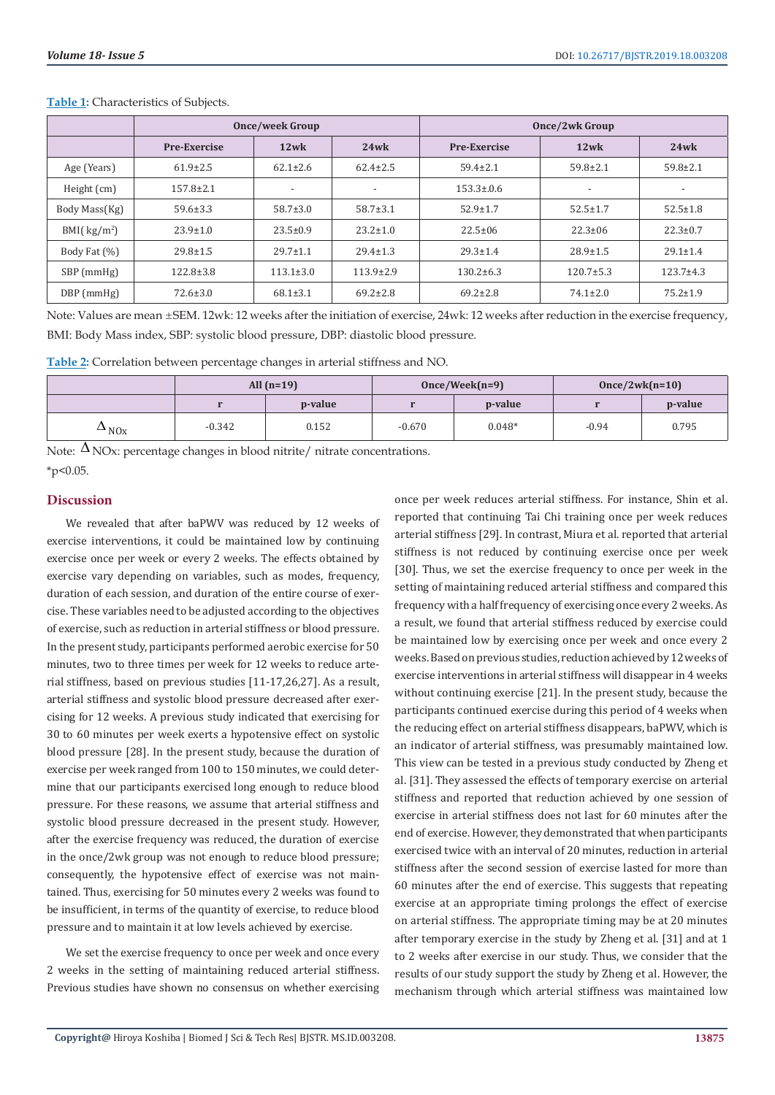|                | <b>Once/week Group</b> |                 |                 | Once/2wk Group      |                          |                 |  |
|----------------|------------------------|-----------------|-----------------|---------------------|--------------------------|-----------------|--|
|                | <b>Pre-Exercise</b>    | 12wk            | 24wk            | <b>Pre-Exercise</b> | $12$ wk                  | 24wk            |  |
| Age (Years)    | $61.9 \pm 2.5$         | $62.1 \pm 2.6$  | $62.4 \pm 2.5$  | $59.4 \pm 2.1$      | $59.8 \pm 2.1$           | $59.8 \pm 2.1$  |  |
| Height (cm)    | $157.8 \pm 2.1$        |                 |                 | $153.3 \pm 0.6$     | $\overline{\phantom{a}}$ |                 |  |
| Body Mass(Kg)  | $59.6 \pm 3.3$         | $58.7 \pm 3.0$  | $58.7 \pm 3.1$  | $52.9 \pm 1.7$      | $52.5 \pm 1.7$           | $52.5 \pm 1.8$  |  |
| BMI( $kg/m2$ ) | $23.9 \pm 1.0$         | $23.5 \pm 0.9$  | $23.2 \pm 1.0$  | $22.5 \pm 06$       | $22.3 \pm 06$            | $22.3 \pm 0.7$  |  |
| Body Fat (%)   | $29.8 \pm 1.5$         | $29.7 \pm 1.1$  | $29.4 \pm 1.3$  | $29.3 \pm 1.4$      | $28.9 \pm 1.5$           | $29.1 \pm 1.4$  |  |
| $SBP$ (mmHg)   | $122.8 \pm 3.8$        | $113.1 \pm 3.0$ | $113.9 \pm 2.9$ | $130.2 \pm 6.3$     | $120.7 \pm 5.3$          | $123.7 \pm 4.3$ |  |
| DBP (mmHg)     | $72.6 \pm 3.0$         | $68.1 \pm 3.1$  | $69.2 \pm 2.8$  | $69.2 \pm 2.8$      | $74.1 \pm 2.0$           | $75.2 \pm 1.9$  |  |

**Table 1:** Characteristics of Subjects.

Note: Values are mean ±SEM. 12wk: 12 weeks after the initiation of exercise, 24wk: 12 weeks after reduction in the exercise frequency, BMI: Body Mass index, SBP: systolic blood pressure, DBP: diastolic blood pressure.

**Table 2:** Correlation between percentage changes in arterial stiffness and NO.

|                         | All $(n=19)$ |         |          | $Once/Week(n=9)$ | $Once/2wk(n=10)$ |         |
|-------------------------|--------------|---------|----------|------------------|------------------|---------|
|                         |              | p-value |          | p-value          |                  | p-value |
| $\Delta$ <sub>NOx</sub> | $-0.342$     | 0.152   | $-0.670$ | $0.048*$         | $-0.94$          | 0.795   |

Note:  $\Delta$  NOx: percentage changes in blood nitrite/ nitrate concentrations.  $*_{p<0.05}$ 

# **Discussion**

We revealed that after baPWV was reduced by 12 weeks of exercise interventions, it could be maintained low by continuing exercise once per week or every 2 weeks. The effects obtained by exercise vary depending on variables, such as modes, frequency, duration of each session, and duration of the entire course of exercise. These variables need to be adjusted according to the objectives of exercise, such as reduction in arterial stiffness or blood pressure. In the present study, participants performed aerobic exercise for 50 minutes, two to three times per week for 12 weeks to reduce arterial stiffness, based on previous studies [11-17,26,27]. As a result, arterial stiffness and systolic blood pressure decreased after exercising for 12 weeks. A previous study indicated that exercising for 30 to 60 minutes per week exerts a hypotensive effect on systolic blood pressure [28]. In the present study, because the duration of exercise per week ranged from 100 to 150 minutes, we could determine that our participants exercised long enough to reduce blood pressure. For these reasons, we assume that arterial stiffness and systolic blood pressure decreased in the present study. However, after the exercise frequency was reduced, the duration of exercise in the once/2wk group was not enough to reduce blood pressure; consequently, the hypotensive effect of exercise was not maintained. Thus, exercising for 50 minutes every 2 weeks was found to be insufficient, in terms of the quantity of exercise, to reduce blood pressure and to maintain it at low levels achieved by exercise.

We set the exercise frequency to once per week and once every 2 weeks in the setting of maintaining reduced arterial stiffness. Previous studies have shown no consensus on whether exercising once per week reduces arterial stiffness. For instance, Shin et al. reported that continuing Tai Chi training once per week reduces arterial stiffness [29]. In contrast, Miura et al. reported that arterial stiffness is not reduced by continuing exercise once per week [30]. Thus, we set the exercise frequency to once per week in the setting of maintaining reduced arterial stiffness and compared this frequency with a half frequency of exercising once every 2 weeks. As a result, we found that arterial stiffness reduced by exercise could be maintained low by exercising once per week and once every 2 weeks. Based on previous studies, reduction achieved by 12 weeks of exercise interventions in arterial stiffness will disappear in 4 weeks without continuing exercise [21]. In the present study, because the participants continued exercise during this period of 4 weeks when the reducing effect on arterial stiffness disappears, baPWV, which is an indicator of arterial stiffness, was presumably maintained low. This view can be tested in a previous study conducted by Zheng et al. [31]. They assessed the effects of temporary exercise on arterial stiffness and reported that reduction achieved by one session of exercise in arterial stiffness does not last for 60 minutes after the end of exercise. However, they demonstrated that when participants exercised twice with an interval of 20 minutes, reduction in arterial stiffness after the second session of exercise lasted for more than 60 minutes after the end of exercise. This suggests that repeating exercise at an appropriate timing prolongs the effect of exercise on arterial stiffness. The appropriate timing may be at 20 minutes after temporary exercise in the study by Zheng et al. [31] and at 1 to 2 weeks after exercise in our study. Thus, we consider that the results of our study support the study by Zheng et al. However, the mechanism through which arterial stiffness was maintained low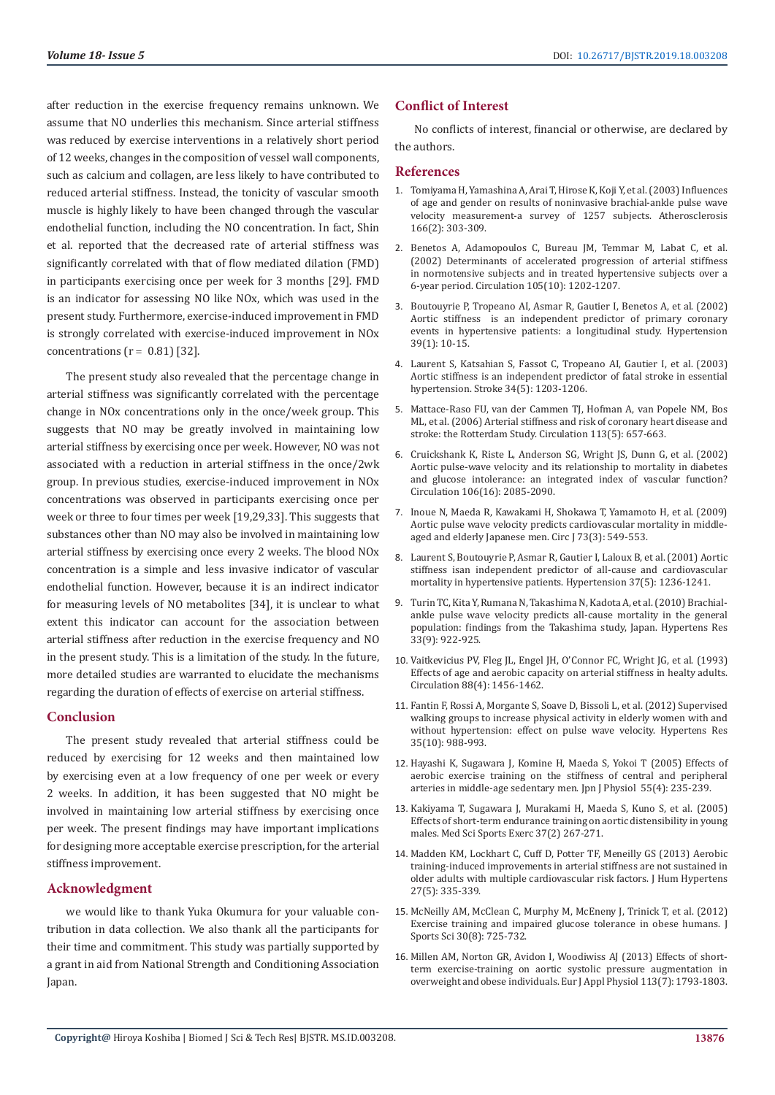after reduction in the exercise frequency remains unknown. We assume that NO underlies this mechanism. Since arterial stiffness was reduced by exercise interventions in a relatively short period of 12 weeks, changes in the composition of vessel wall components, such as calcium and collagen, are less likely to have contributed to reduced arterial stiffness. Instead, the tonicity of vascular smooth muscle is highly likely to have been changed through the vascular endothelial function, including the NO concentration. In fact, Shin et al. reported that the decreased rate of arterial stiffness was significantly correlated with that of flow mediated dilation (FMD) in participants exercising once per week for 3 months [29]. FMD is an indicator for assessing NO like NOx, which was used in the present study. Furthermore, exercise-induced improvement in FMD is strongly correlated with exercise-induced improvement in NOx concentrations  $(r = 0.81)$  [32].

The present study also revealed that the percentage change in arterial stiffness was significantly correlated with the percentage change in NOx concentrations only in the once/week group. This suggests that NO may be greatly involved in maintaining low arterial stiffness by exercising once per week. However, NO was not associated with a reduction in arterial stiffness in the once/2wk group. In previous studies, exercise-induced improvement in NOx concentrations was observed in participants exercising once per week or three to four times per week [19,29,33]. This suggests that substances other than NO may also be involved in maintaining low arterial stiffness by exercising once every 2 weeks. The blood NOx concentration is a simple and less invasive indicator of vascular endothelial function. However, because it is an indirect indicator for measuring levels of NO metabolites [34], it is unclear to what extent this indicator can account for the association between arterial stiffness after reduction in the exercise frequency and NO in the present study. This is a limitation of the study. In the future, more detailed studies are warranted to elucidate the mechanisms regarding the duration of effects of exercise on arterial stiffness.

# **Conclusion**

The present study revealed that arterial stiffness could be reduced by exercising for 12 weeks and then maintained low by exercising even at a low frequency of one per week or every 2 weeks. In addition, it has been suggested that NO might be involved in maintaining low arterial stiffness by exercising once per week. The present findings may have important implications for designing more acceptable exercise prescription, for the arterial stiffness improvement.

# **Acknowledgment**

we would like to thank Yuka Okumura for your valuable contribution in data collection. We also thank all the participants for their time and commitment. This study was partially supported by a grant in aid from National Strength and Conditioning Association Japan.

# **Conflict of Interest**

No conflicts of interest, financial or otherwise, are declared by the authors.

# **References**

- 1. [Tomiyama H, Yamashina A, Arai T, Hirose K, Koji Y, et al. \(2003\) Influences](https://www.ncbi.nlm.nih.gov/pubmed/12535743) [of age and gender on results of noninvasive brachial-ankle pulse wave](https://www.ncbi.nlm.nih.gov/pubmed/12535743) [velocity measurement-a survey of 1257 subjects. Atherosclerosis](https://www.ncbi.nlm.nih.gov/pubmed/12535743) [166\(2\): 303-309.](https://www.ncbi.nlm.nih.gov/pubmed/12535743)
- 2. [Benetos A, Adamopoulos C, Bureau JM, Temmar M, Labat C, et al.](https://www.ncbi.nlm.nih.gov/pubmed/11889014) [\(2002\) Determinants of accelerated progression of arterial stiffness](https://www.ncbi.nlm.nih.gov/pubmed/11889014) [in normotensive subjects and in treated hypertensive subjects over a](https://www.ncbi.nlm.nih.gov/pubmed/11889014) [6-year period. Circulation 105\(10\): 1202-1207.](https://www.ncbi.nlm.nih.gov/pubmed/11889014)
- 3. [Boutouyrie P, Tropeano AI, Asmar R, Gautier I, Benetos A, et al. \(2002\)](https://www.ncbi.nlm.nih.gov/pubmed/11799071) Aortic stiffness [is an independent predictor of primary coronary](https://www.ncbi.nlm.nih.gov/pubmed/11799071) [events in hypertensive patients: a longitudinal study. Hypertension](https://www.ncbi.nlm.nih.gov/pubmed/11799071) [39\(1\): 10-15.](https://www.ncbi.nlm.nih.gov/pubmed/11799071)
- 4. [Laurent S, Katsahian S, Fassot C, Tropeano AI, Gautier I, et al. \(2003\)](https://www.ncbi.nlm.nih.gov/pubmed/12677025) [Aortic stiffness is an independent predictor of fatal stroke in essential](https://www.ncbi.nlm.nih.gov/pubmed/12677025) [hypertension. Stroke 34\(5\): 1203-1206.](https://www.ncbi.nlm.nih.gov/pubmed/12677025)
- 5. [Mattace-Raso FU, van der Cammen TJ, Hofman A, van Popele NM, Bos](https://www.ncbi.nlm.nih.gov/pubmed/16461838) [ML, et al. \(2006\) Arterial stiffness and risk of coronary heart disease and](https://www.ncbi.nlm.nih.gov/pubmed/16461838) [stroke: the Rotterdam Study. Circulation 113\(5\): 657-663.](https://www.ncbi.nlm.nih.gov/pubmed/16461838)
- 6. [Cruickshank K, Riste L, Anderson SG, Wright JS, Dunn G, et al. \(2002\)](https://www.ncbi.nlm.nih.gov/pubmed/12379578) [Aortic pulse-wave velocity and its relationship to mortality in diabetes](https://www.ncbi.nlm.nih.gov/pubmed/12379578) [and glucose intolerance: an integrated index of vascular function?](https://www.ncbi.nlm.nih.gov/pubmed/12379578) [Circulation 106\(16\): 2085-2090.](https://www.ncbi.nlm.nih.gov/pubmed/12379578)
- 7. [Inoue N, Maeda R, Kawakami H, Shokawa T, Yamamoto H, et al. \(2009\)](https://www.ncbi.nlm.nih.gov/pubmed/19179770) [Aortic pulse wave velocity predicts cardiovascular mortality in middle](https://www.ncbi.nlm.nih.gov/pubmed/19179770)[aged and elderly Japanese men. Circ J 73\(3\): 549-553.](https://www.ncbi.nlm.nih.gov/pubmed/19179770)
- 8. [Laurent S, Boutouyrie P, Asmar R, Gautier I, Laloux B, et al. \(2001\) Aortic](https://www.ncbi.nlm.nih.gov/pubmed/11358934) [stiffness isan independent predictor of all-cause and cardiovascular](https://www.ncbi.nlm.nih.gov/pubmed/11358934) [mortality in hypertensive patients. Hypertension 37\(5\): 1236-1241.](https://www.ncbi.nlm.nih.gov/pubmed/11358934)
- 9. [Turin TC, Kita Y, Rumana N, Takashima N, Kadota A, et al. \(2010\) Brachial](https://www.ncbi.nlm.nih.gov/pubmed/20555327)[ankle pulse wave velocity predicts all-cause mortality in the general](https://www.ncbi.nlm.nih.gov/pubmed/20555327) [population: findings from the Takashima study, Japan. Hypertens Res](https://www.ncbi.nlm.nih.gov/pubmed/20555327) [33\(9\): 922-925.](https://www.ncbi.nlm.nih.gov/pubmed/20555327)
- 10. [Vaitkevicius PV, Fleg JL, Engel JH, O'Connor FC, Wright JG, et al. \(1993\)](https://www.ncbi.nlm.nih.gov/pubmed/8403292) [Effects of age and aerobic capacity on arterial stiffness in healty adults.](https://www.ncbi.nlm.nih.gov/pubmed/8403292) [Circulation 88\(4\): 1456-1462.](https://www.ncbi.nlm.nih.gov/pubmed/8403292)
- 11. [Fantin F, Rossi A, Morgante S, Soave D, Bissoli L, et al. \(2012\) Supervised](https://www.ncbi.nlm.nih.gov/pubmed/22763472) [walking groups to increase physical activity in elderly women with and](https://www.ncbi.nlm.nih.gov/pubmed/22763472) [without hypertension: effect on pulse wave velocity. Hypertens Res](https://www.ncbi.nlm.nih.gov/pubmed/22763472) [35\(10\): 988-993.](https://www.ncbi.nlm.nih.gov/pubmed/22763472)
- 12. [Hayashi K, Sugawara J, Komine H, Maeda S, Yokoi T \(2005\) Effects of](https://www.ncbi.nlm.nih.gov/pubmed/16248931) [aerobic exercise training on the stiffness of central and peripheral](https://www.ncbi.nlm.nih.gov/pubmed/16248931) [arteries in middle-age sedentary men. Jpn J Physiol 55\(4\): 235-239.](https://www.ncbi.nlm.nih.gov/pubmed/16248931)
- 13. [Kakiyama T, Sugawara J, Murakami H, Maeda S, Kuno S, et al. \(2005\)](https://www.ncbi.nlm.nih.gov/pubmed/15692323) [Effects of short-term endurance training on aortic distensibility in young](https://www.ncbi.nlm.nih.gov/pubmed/15692323) [males. Med Sci Sports Exerc 37\(2\) 267-271.](https://www.ncbi.nlm.nih.gov/pubmed/15692323)
- 14. [Madden KM, Lockhart C, Cuff D, Potter TF, Meneilly GS \(2013\) Aerobic](https://www.ncbi.nlm.nih.gov/pmc/articles/PMC3626024/) [training-induced improvements in arterial stiffness are not sustained in](https://www.ncbi.nlm.nih.gov/pmc/articles/PMC3626024/) [older adults with multiple cardiovascular risk factors. J Hum Hypertens](https://www.ncbi.nlm.nih.gov/pmc/articles/PMC3626024/) [27\(5\): 335-339.](https://www.ncbi.nlm.nih.gov/pmc/articles/PMC3626024/)
- 15. [McNeilly AM, McClean C, Murphy M, McEneny J, Trinick T, et al. \(2012\)](https://www.ncbi.nlm.nih.gov/pubmed/22439679) [Exercise training and impaired glucose tolerance in obese humans. J](https://www.ncbi.nlm.nih.gov/pubmed/22439679) [Sports Sci 30\(8\): 725-732.](https://www.ncbi.nlm.nih.gov/pubmed/22439679)
- 16. [Millen AM, Norton GR, Avidon I, Woodiwiss AJ \(2013\) Effects of short](https://www.ncbi.nlm.nih.gov/pubmed/23423304)[term exercise-training on aortic systolic pressure augmentation in](https://www.ncbi.nlm.nih.gov/pubmed/23423304) [overweight and obese individuals. Eur J Appl Physiol 113\(7\): 1793-1803.](https://www.ncbi.nlm.nih.gov/pubmed/23423304)